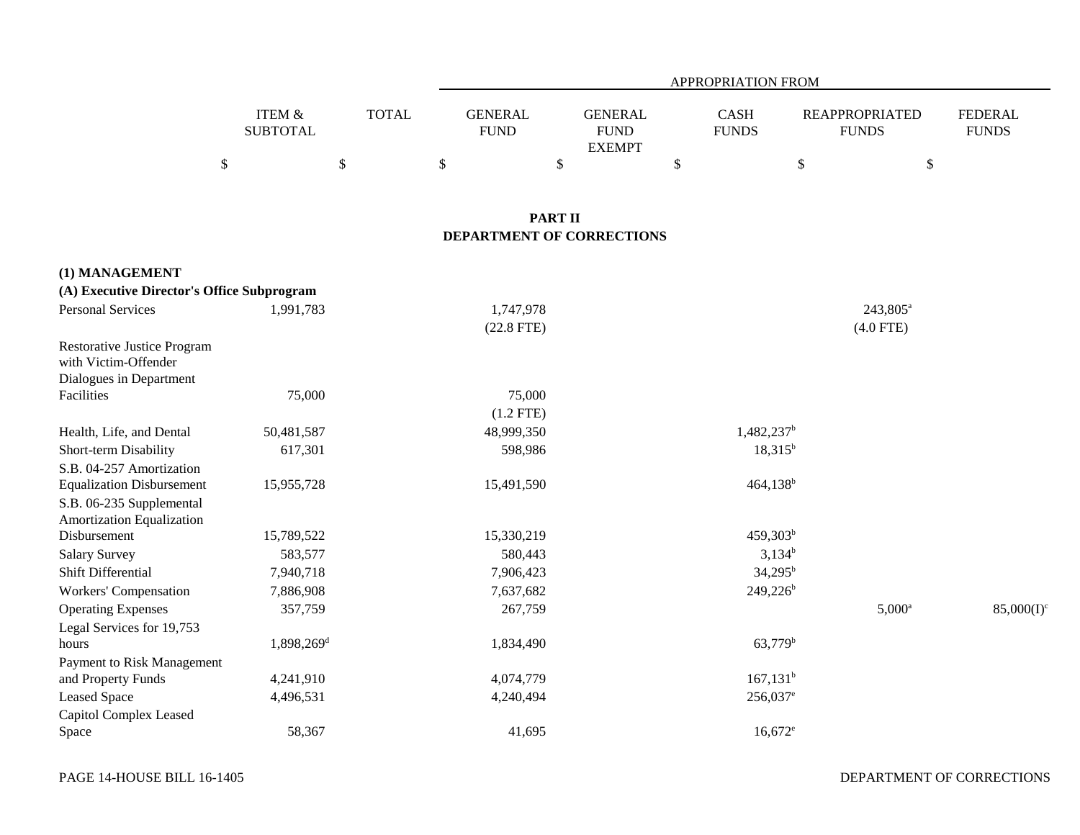|                   |              | APPROPRIATION FROM |               |              |                       |                |  |  |  |  |  |
|-------------------|--------------|--------------------|---------------|--------------|-----------------------|----------------|--|--|--|--|--|
|                   |              |                    |               |              |                       |                |  |  |  |  |  |
| <b>ITEM &amp;</b> | <b>TOTAL</b> | <b>GENERAL</b>     | GENERAL       | CASH         | <b>REAPPROPRIATED</b> | <b>FEDERAL</b> |  |  |  |  |  |
| <b>SUBTOTAL</b>   |              | <b>FUND</b>        | <b>FUND</b>   | <b>FUNDS</b> | <b>FUNDS</b>          | <b>FUNDS</b>   |  |  |  |  |  |
|                   |              |                    | <b>EXEMPT</b> |              |                       |                |  |  |  |  |  |
|                   |              |                    |               |              |                       |                |  |  |  |  |  |

## **PART II DEPARTMENT OF CORRECTIONS**

| (A) Executive Director's Office Subprogram                 |                        |              |                        |                      |               |
|------------------------------------------------------------|------------------------|--------------|------------------------|----------------------|---------------|
| <b>Personal Services</b>                                   | 1,991,783              | 1,747,978    |                        | 243,805 <sup>a</sup> |               |
|                                                            |                        | $(22.8$ FTE) |                        | $(4.0$ FTE)          |               |
| <b>Restorative Justice Program</b><br>with Victim-Offender |                        |              |                        |                      |               |
| Dialogues in Department                                    |                        |              |                        |                      |               |
| Facilities                                                 | 75,000                 | 75,000       |                        |                      |               |
|                                                            |                        | $(1.2$ FTE)  |                        |                      |               |
| Health, Life, and Dental                                   | 50,481,587             | 48,999,350   | 1,482,237 <sup>b</sup> |                      |               |
| Short-term Disability                                      | 617,301                | 598,986      | $18,315^b$             |                      |               |
| S.B. 04-257 Amortization                                   |                        |              |                        |                      |               |
| <b>Equalization Disbursement</b>                           | 15,955,728             | 15,491,590   | $464,138^b$            |                      |               |
| S.B. 06-235 Supplemental                                   |                        |              |                        |                      |               |
| Amortization Equalization                                  |                        |              |                        |                      |               |
| Disbursement                                               | 15,789,522             | 15,330,219   | 459,303 <sup>b</sup>   |                      |               |
| <b>Salary Survey</b>                                       | 583,577                | 580,443      | $3,134^b$              |                      |               |
| Shift Differential                                         | 7,940,718              | 7,906,423    | $34,295^{\rm b}$       |                      |               |
| Workers' Compensation                                      | 7,886,908              | 7,637,682    | $249,226^b$            |                      |               |
| <b>Operating Expenses</b>                                  | 357,759                | 267,759      |                        | $5,000^{\rm a}$      | $85,000(I)^c$ |
| Legal Services for 19,753                                  |                        |              |                        |                      |               |
| hours                                                      | 1,898,269 <sup>d</sup> | 1,834,490    | 63,779 <sup>b</sup>    |                      |               |
| Payment to Risk Management                                 |                        |              |                        |                      |               |
| and Property Funds                                         | 4,241,910              | 4,074,779    | $167,131^b$            |                      |               |
| <b>Leased Space</b>                                        | 4,496,531              | 4,240,494    | 256,037 <sup>e</sup>   |                      |               |
| Capitol Complex Leased                                     |                        |              |                        |                      |               |
| Space                                                      | 58,367                 | 41,695       | $16,672^e$             |                      |               |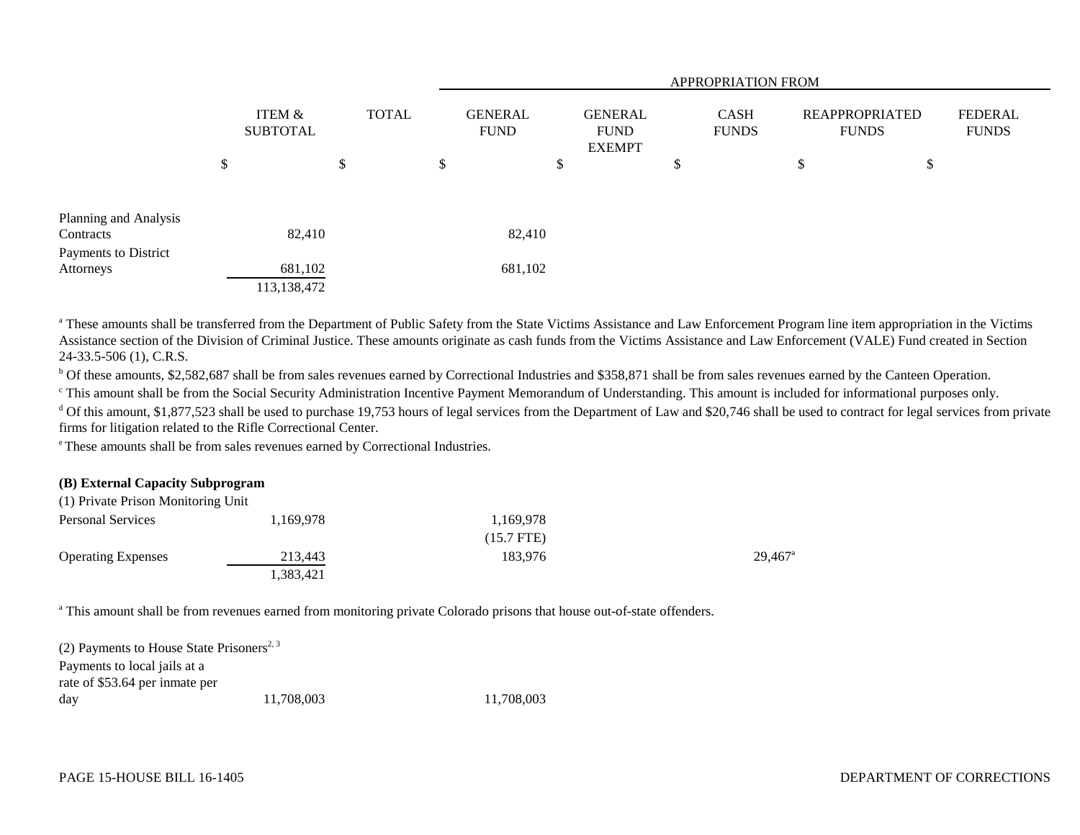|                       |                           |    |              | <b>APPROPRIATION FROM</b> |                               |    |                                                |    |                             |                                |   |                                |
|-----------------------|---------------------------|----|--------------|---------------------------|-------------------------------|----|------------------------------------------------|----|-----------------------------|--------------------------------|---|--------------------------------|
|                       | ITEM &<br><b>SUBTOTAL</b> |    | <b>TOTAL</b> |                           | <b>GENERAL</b><br><b>FUND</b> |    | <b>GENERAL</b><br><b>FUND</b><br><b>EXEMPT</b> |    | <b>CASH</b><br><b>FUNDS</b> | REAPPROPRIATED<br><b>FUNDS</b> |   | <b>FEDERAL</b><br><b>FUNDS</b> |
|                       | \$                        | \$ |              | \$                        |                               | \$ |                                                | \$ |                             | \$                             | Φ |                                |
| Planning and Analysis |                           |    |              |                           |                               |    |                                                |    |                             |                                |   |                                |
| Contracts             | 82,410                    |    |              |                           | 82,410                        |    |                                                |    |                             |                                |   |                                |
| Payments to District  |                           |    |              |                           |                               |    |                                                |    |                             |                                |   |                                |
| Attorneys             | 681,102                   |    |              |                           | 681,102                       |    |                                                |    |                             |                                |   |                                |
|                       | 113,138,472               |    |              |                           |                               |    |                                                |    |                             |                                |   |                                |

<sup>a</sup> These amounts shall be transferred from the Department of Public Safety from the State Victims Assistance and Law Enforcement Program line item appropriation in the Victims Assistance section of the Division of Criminal Justice. These amounts originate as cash funds from the Victims Assistance and Law Enforcement (VALE) Fund created in Section 24-33.5-506 (1), C.R.S.

b Of these amounts, \$2,582,687 shall be from sales revenues earned by Correctional Industries and \$358,871 shall be from sales revenues earned by the Canteen Operation.

c This amount shall be from the Social Security Administration Incentive Payment Memorandum of Understanding. This amount is included for informational purposes only.

 $d$  Of this amount, \$1,877,523 shall be used to purchase 19,753 hours of legal services from the Department of Law and \$20,746 shall be used to contract for legal services from private firms for litigation related to the Rifle Correctional Center.

e These amounts shall be from sales revenues earned by Correctional Industries.

## **(B) External Capacity Subprogram**

| (1) Private Prison Monitoring Unit |           |              |                       |
|------------------------------------|-----------|--------------|-----------------------|
| <b>Personal Services</b>           | 1.169.978 | 1.169.978    |                       |
|                                    |           | $(15.7$ FTE) |                       |
| <b>Operating Expenses</b>          | 213,443   | 183.976      | $29.467$ <sup>a</sup> |
|                                    | 1,383,421 |              |                       |

<sup>a</sup> This amount shall be from revenues earned from monitoring private Colorado prisons that house out-of-state offenders.

| (2) Payments to House State Prisoners <sup>2, 3</sup> |            |            |
|-------------------------------------------------------|------------|------------|
| Payments to local jails at a                          |            |            |
| rate of \$53.64 per inmate per                        |            |            |
| day                                                   | 11.708.003 | 11,708,003 |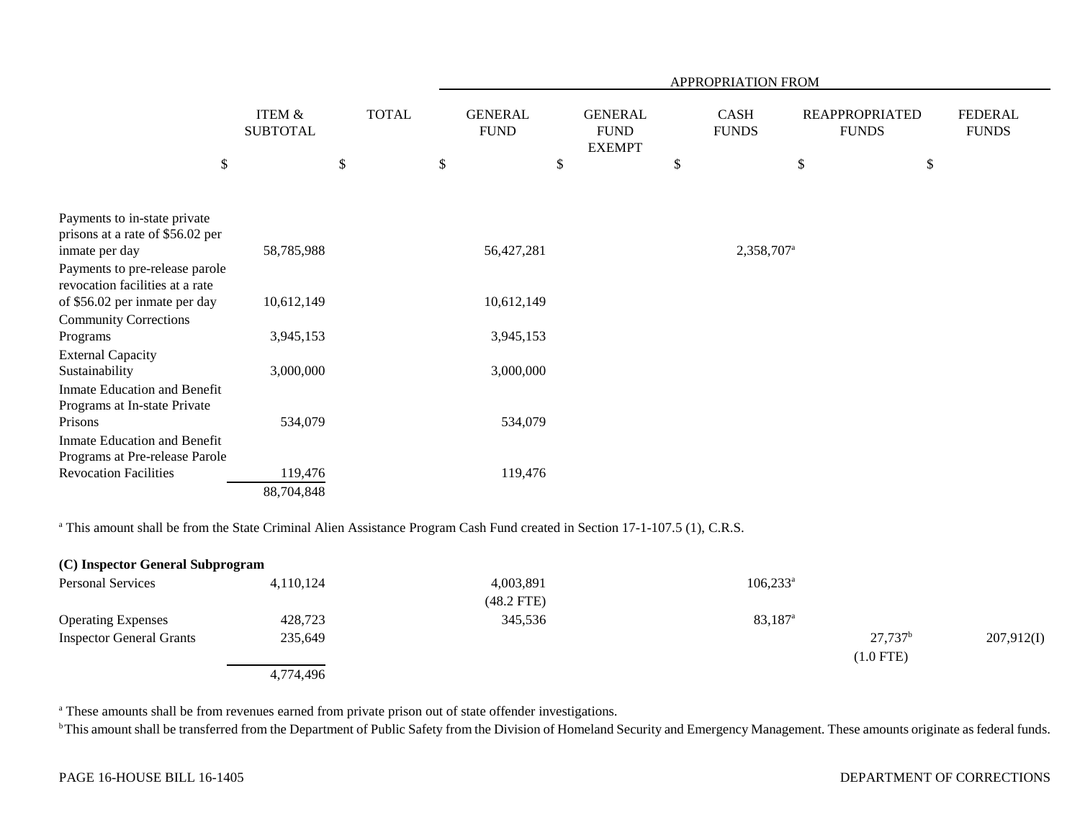|                                                                   |                                      |              | APPROPRIATION FROM |                               |                                                |    |                             |    |                                       |                                |  |
|-------------------------------------------------------------------|--------------------------------------|--------------|--------------------|-------------------------------|------------------------------------------------|----|-----------------------------|----|---------------------------------------|--------------------------------|--|
|                                                                   | <b>ITEM &amp;</b><br><b>SUBTOTAL</b> | <b>TOTAL</b> |                    | <b>GENERAL</b><br><b>FUND</b> | <b>GENERAL</b><br><b>FUND</b><br><b>EXEMPT</b> |    | <b>CASH</b><br><b>FUNDS</b> |    | <b>REAPPROPRIATED</b><br><b>FUNDS</b> | <b>FEDERAL</b><br><b>FUNDS</b> |  |
| \$                                                                |                                      | \$           | \$                 | $\$$                          |                                                | \$ |                             | \$ | \$                                    |                                |  |
| Payments to in-state private                                      |                                      |              |                    |                               |                                                |    |                             |    |                                       |                                |  |
| prisons at a rate of \$56.02 per                                  |                                      |              |                    |                               |                                                |    |                             |    |                                       |                                |  |
| inmate per day                                                    | 58,785,988                           |              |                    | 56,427,281                    |                                                |    | 2,358,707 <sup>a</sup>      |    |                                       |                                |  |
| Payments to pre-release parole<br>revocation facilities at a rate |                                      |              |                    |                               |                                                |    |                             |    |                                       |                                |  |
| of \$56.02 per inmate per day                                     | 10,612,149                           |              |                    | 10,612,149                    |                                                |    |                             |    |                                       |                                |  |
| <b>Community Corrections</b>                                      |                                      |              |                    |                               |                                                |    |                             |    |                                       |                                |  |
| Programs                                                          | 3,945,153                            |              |                    | 3,945,153                     |                                                |    |                             |    |                                       |                                |  |
| <b>External Capacity</b>                                          |                                      |              |                    |                               |                                                |    |                             |    |                                       |                                |  |
| Sustainability                                                    | 3,000,000                            |              |                    | 3,000,000                     |                                                |    |                             |    |                                       |                                |  |
| Inmate Education and Benefit                                      |                                      |              |                    |                               |                                                |    |                             |    |                                       |                                |  |
| Programs at In-state Private                                      |                                      |              |                    |                               |                                                |    |                             |    |                                       |                                |  |
| Prisons                                                           | 534,079                              |              |                    | 534,079                       |                                                |    |                             |    |                                       |                                |  |
| Inmate Education and Benefit                                      |                                      |              |                    |                               |                                                |    |                             |    |                                       |                                |  |
| Programs at Pre-release Parole                                    |                                      |              |                    |                               |                                                |    |                             |    |                                       |                                |  |
| <b>Revocation Facilities</b>                                      | 119,476                              |              |                    | 119,476                       |                                                |    |                             |    |                                       |                                |  |
|                                                                   | 88,704,848                           |              |                    |                               |                                                |    |                             |    |                                       |                                |  |

<sup>a</sup> This amount shall be from the State Criminal Alien Assistance Program Cash Fund created in Section 17-1-107.5 (1), C.R.S.

| (C) Inspector General Subprogram |           |                           |                     |                                 |            |
|----------------------------------|-----------|---------------------------|---------------------|---------------------------------|------------|
| <b>Personal Services</b>         | 4.110.124 | 4,003,891<br>$(48.2$ FTE) | $106,233^a$         |                                 |            |
| <b>Operating Expenses</b>        | 428,723   | 345,536                   | 83,187 <sup>a</sup> |                                 |            |
| <b>Inspector General Grants</b>  | 235,649   |                           |                     | $27,737^{\rm b}$<br>$(1.0$ FTE) | 207,912(I) |
|                                  | 4,774,496 |                           |                     |                                 |            |

a These amounts shall be from revenues earned from private prison out of state offender investigations.

**b** This amount shall be transferred from the Department of Public Safety from the Division of Homeland Security and Emergency Management. These amounts originate as federal funds.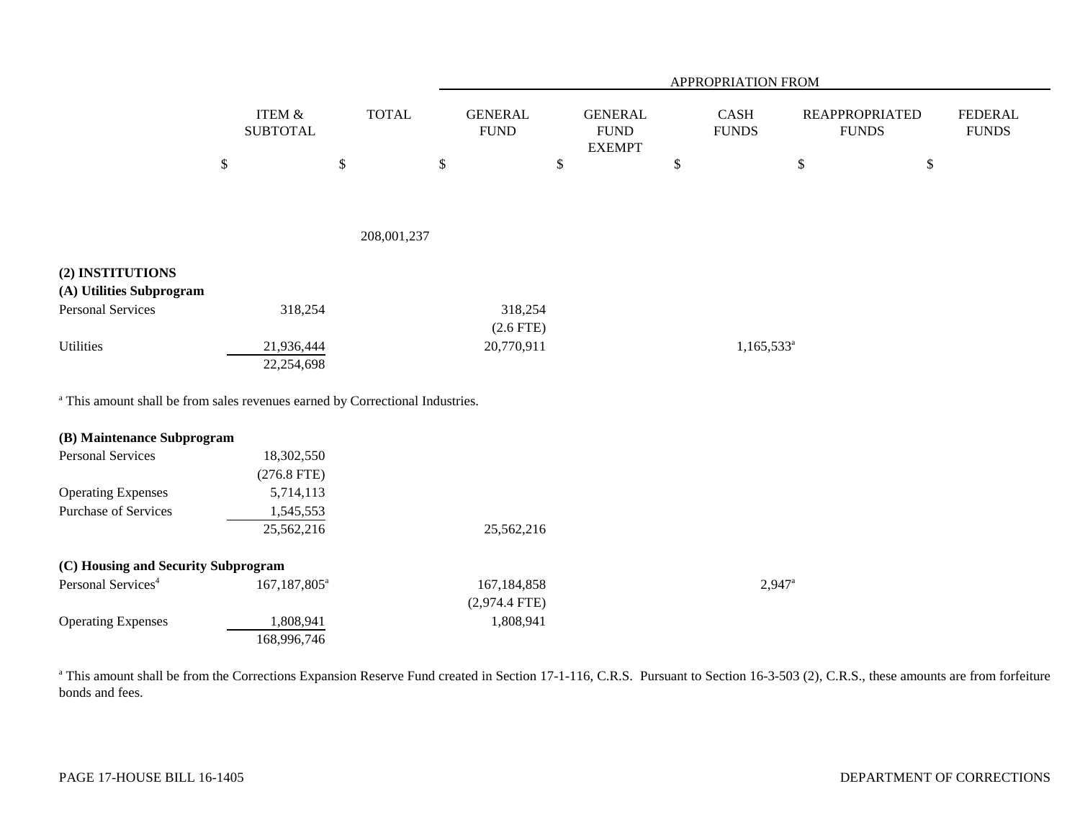|                                                                                          |              |                              |              |        | APPROPRIATION FROM             |      |                                                 |        |                                       |                                       |      |                                |  |
|------------------------------------------------------------------------------------------|--------------|------------------------------|--------------|--------|--------------------------------|------|-------------------------------------------------|--------|---------------------------------------|---------------------------------------|------|--------------------------------|--|
|                                                                                          |              | ITEM $\&$<br><b>SUBTOTAL</b> | <b>TOTAL</b> |        | <b>GENERAL</b><br>${\rm FUND}$ |      | <b>GENERAL</b><br>${\rm FUND}$<br><b>EXEMPT</b> |        | $\operatorname{CASH}$<br><b>FUNDS</b> | <b>REAPPROPRIATED</b><br><b>FUNDS</b> |      | <b>FEDERAL</b><br><b>FUNDS</b> |  |
|                                                                                          | $\mathbb{S}$ | $\mathbb{S}$                 |              | $\$\,$ |                                | $\$$ |                                                 | $\$\,$ |                                       | $\mathbb{S}$                          | $\$$ |                                |  |
|                                                                                          |              |                              |              |        |                                |      |                                                 |        |                                       |                                       |      |                                |  |
|                                                                                          |              |                              | 208,001,237  |        |                                |      |                                                 |        |                                       |                                       |      |                                |  |
| (2) INSTITUTIONS                                                                         |              |                              |              |        |                                |      |                                                 |        |                                       |                                       |      |                                |  |
| (A) Utilities Subprogram                                                                 |              |                              |              |        |                                |      |                                                 |        |                                       |                                       |      |                                |  |
| <b>Personal Services</b>                                                                 |              | 318,254                      |              |        | 318,254                        |      |                                                 |        |                                       |                                       |      |                                |  |
|                                                                                          |              |                              |              |        | $(2.6$ FTE)                    |      |                                                 |        |                                       |                                       |      |                                |  |
| <b>Utilities</b>                                                                         |              | 21,936,444                   |              |        | 20,770,911                     |      |                                                 |        | $1,165,533$ <sup>a</sup>              |                                       |      |                                |  |
|                                                                                          |              | 22,254,698                   |              |        |                                |      |                                                 |        |                                       |                                       |      |                                |  |
| <sup>a</sup> This amount shall be from sales revenues earned by Correctional Industries. |              |                              |              |        |                                |      |                                                 |        |                                       |                                       |      |                                |  |
| (B) Maintenance Subprogram                                                               |              |                              |              |        |                                |      |                                                 |        |                                       |                                       |      |                                |  |
| <b>Personal Services</b>                                                                 |              | 18,302,550                   |              |        |                                |      |                                                 |        |                                       |                                       |      |                                |  |
|                                                                                          |              | $(276.8$ FTE)                |              |        |                                |      |                                                 |        |                                       |                                       |      |                                |  |
| <b>Operating Expenses</b>                                                                |              | 5,714,113                    |              |        |                                |      |                                                 |        |                                       |                                       |      |                                |  |
| Purchase of Services                                                                     |              | 1,545,553                    |              |        |                                |      |                                                 |        |                                       |                                       |      |                                |  |
|                                                                                          |              | 25,562,216                   |              |        | 25,562,216                     |      |                                                 |        |                                       |                                       |      |                                |  |
| (C) Housing and Security Subprogram                                                      |              |                              |              |        |                                |      |                                                 |        |                                       |                                       |      |                                |  |
| Personal Services <sup>4</sup>                                                           |              | 167,187,805 <sup>a</sup>     |              |        | 167,184,858                    |      |                                                 |        | $2,947^{\circ}$                       |                                       |      |                                |  |
|                                                                                          |              |                              |              |        | $(2,974.4$ FTE)                |      |                                                 |        |                                       |                                       |      |                                |  |
| <b>Operating Expenses</b>                                                                |              | 1,808,941                    |              |        | 1,808,941                      |      |                                                 |        |                                       |                                       |      |                                |  |
|                                                                                          |              | 168,996,746                  |              |        |                                |      |                                                 |        |                                       |                                       |      |                                |  |

<sup>a</sup> This amount shall be from the Corrections Expansion Reserve Fund created in Section 17-1-116, C.R.S. Pursuant to Section 16-3-503 (2), C.R.S., these amounts are from forfeiture bonds and fees.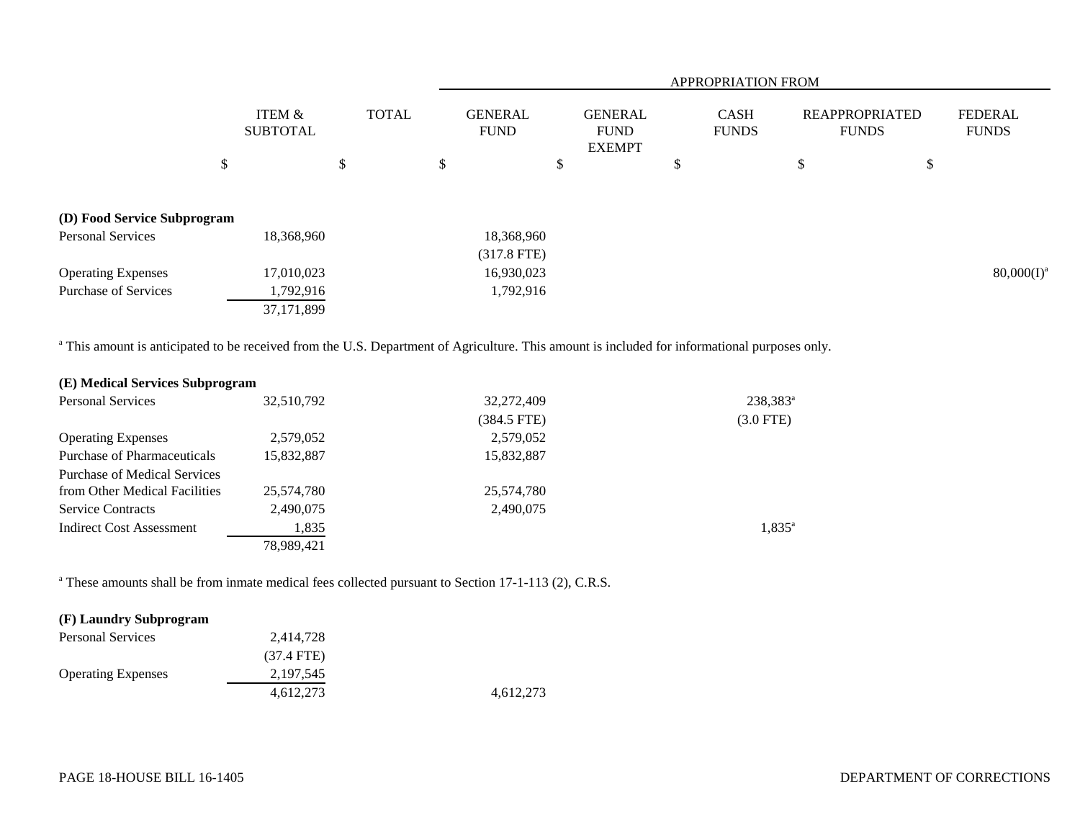|                                                                                                                                                          |                              |              |                               |                                                | <b>APPROPRIATION FROM</b> |                                       |                                |
|----------------------------------------------------------------------------------------------------------------------------------------------------------|------------------------------|--------------|-------------------------------|------------------------------------------------|---------------------------|---------------------------------------|--------------------------------|
|                                                                                                                                                          | ITEM $\&$<br><b>SUBTOTAL</b> | <b>TOTAL</b> | <b>GENERAL</b><br><b>FUND</b> | <b>GENERAL</b><br><b>FUND</b><br><b>EXEMPT</b> | CASH<br><b>FUNDS</b>      | <b>REAPPROPRIATED</b><br><b>FUNDS</b> | <b>FEDERAL</b><br><b>FUNDS</b> |
| \$                                                                                                                                                       |                              | \$           | \$<br>\$                      |                                                | \$                        | \$<br>\$                              |                                |
| (D) Food Service Subprogram                                                                                                                              |                              |              |                               |                                                |                           |                                       |                                |
| <b>Personal Services</b>                                                                                                                                 | 18,368,960                   |              | 18,368,960                    |                                                |                           |                                       |                                |
|                                                                                                                                                          |                              |              | $(317.8$ FTE)                 |                                                |                           |                                       |                                |
| <b>Operating Expenses</b>                                                                                                                                | 17,010,023                   |              | 16,930,023                    |                                                |                           |                                       | $80,000(I)^a$                  |
| <b>Purchase of Services</b>                                                                                                                              | 1,792,916                    |              | 1,792,916                     |                                                |                           |                                       |                                |
|                                                                                                                                                          | 37,171,899                   |              |                               |                                                |                           |                                       |                                |
| <sup>a</sup> This amount is anticipated to be received from the U.S. Department of Agriculture. This amount is included for informational purposes only. |                              |              |                               |                                                |                           |                                       |                                |
| (E) Medical Services Subprogram                                                                                                                          |                              |              |                               |                                                |                           |                                       |                                |
| <b>Personal Services</b>                                                                                                                                 | 32,510,792                   |              | 32,272,409                    |                                                | 238,383 <sup>a</sup>      |                                       |                                |
|                                                                                                                                                          |                              |              | $(384.5$ FTE)                 |                                                | $(3.0$ FTE)               |                                       |                                |
| <b>Operating Expenses</b>                                                                                                                                | 2,579,052                    |              | 2,579,052                     |                                                |                           |                                       |                                |
| <b>Purchase of Pharmaceuticals</b>                                                                                                                       | 15,832,887                   |              | 15,832,887                    |                                                |                           |                                       |                                |
| <b>Purchase of Medical Services</b>                                                                                                                      |                              |              |                               |                                                |                           |                                       |                                |
| from Other Medical Facilities                                                                                                                            | 25,574,780                   |              | 25,574,780                    |                                                |                           |                                       |                                |
| <b>Service Contracts</b>                                                                                                                                 | 2,490,075                    |              | 2,490,075                     |                                                |                           |                                       |                                |

Indirect Cost Assessment 1,835 1,835<sup>a</sup> 78,989,421

<sup>a</sup> These amounts shall be from inmate medical fees collected pursuant to Section 17-1-113 (2), C.R.S.

# **(F) Laundry Subprogram**

| Personal Services         | 2.414.728            |           |
|---------------------------|----------------------|-----------|
|                           | $(37.4 \text{ FTE})$ |           |
| <b>Operating Expenses</b> | 2, 197, 545          |           |
|                           | 4.612.273            | 4.612.273 |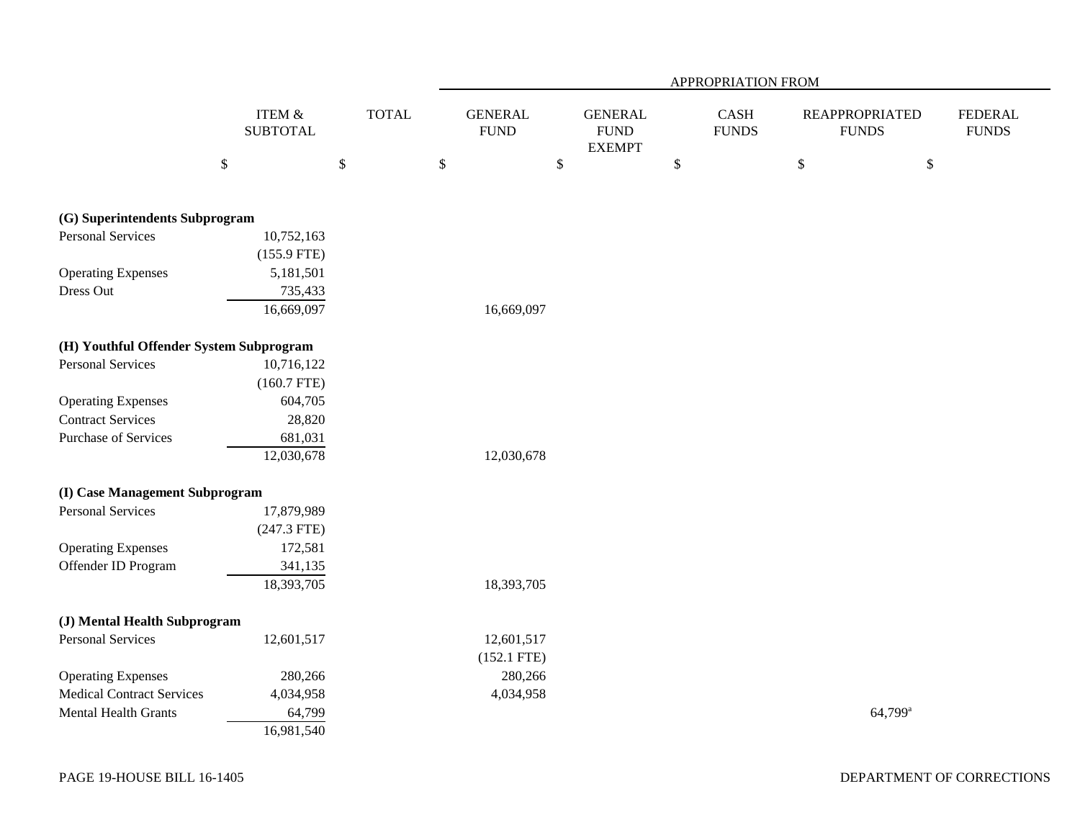|                                         |                              |              | APPROPRIATION FROM            |                                                 |                      |                                       |                                |  |  |  |  |  |
|-----------------------------------------|------------------------------|--------------|-------------------------------|-------------------------------------------------|----------------------|---------------------------------------|--------------------------------|--|--|--|--|--|
|                                         | ITEM $\&$<br><b>SUBTOTAL</b> | <b>TOTAL</b> | <b>GENERAL</b><br><b>FUND</b> | <b>GENERAL</b><br>${\rm FUND}$<br><b>EXEMPT</b> | CASH<br><b>FUNDS</b> | <b>REAPPROPRIATED</b><br><b>FUNDS</b> | <b>FEDERAL</b><br><b>FUNDS</b> |  |  |  |  |  |
|                                         | $\$$                         | $\$\,$       | \$<br>\$                      |                                                 | $\$$                 | \$<br>$\mathbb{S}$                    |                                |  |  |  |  |  |
| (G) Superintendents Subprogram          |                              |              |                               |                                                 |                      |                                       |                                |  |  |  |  |  |
| <b>Personal Services</b>                | 10,752,163                   |              |                               |                                                 |                      |                                       |                                |  |  |  |  |  |
|                                         | $(155.9$ FTE)                |              |                               |                                                 |                      |                                       |                                |  |  |  |  |  |
| <b>Operating Expenses</b>               | 5,181,501                    |              |                               |                                                 |                      |                                       |                                |  |  |  |  |  |
| Dress Out                               | 735,433                      |              |                               |                                                 |                      |                                       |                                |  |  |  |  |  |
|                                         | 16,669,097                   |              | 16,669,097                    |                                                 |                      |                                       |                                |  |  |  |  |  |
| (H) Youthful Offender System Subprogram |                              |              |                               |                                                 |                      |                                       |                                |  |  |  |  |  |
| <b>Personal Services</b>                | 10,716,122                   |              |                               |                                                 |                      |                                       |                                |  |  |  |  |  |
|                                         | $(160.7$ FTE)                |              |                               |                                                 |                      |                                       |                                |  |  |  |  |  |
| <b>Operating Expenses</b>               | 604,705                      |              |                               |                                                 |                      |                                       |                                |  |  |  |  |  |
| <b>Contract Services</b>                | 28,820                       |              |                               |                                                 |                      |                                       |                                |  |  |  |  |  |
| <b>Purchase of Services</b>             | 681,031                      |              |                               |                                                 |                      |                                       |                                |  |  |  |  |  |
|                                         | 12,030,678                   |              | 12,030,678                    |                                                 |                      |                                       |                                |  |  |  |  |  |
| (I) Case Management Subprogram          |                              |              |                               |                                                 |                      |                                       |                                |  |  |  |  |  |
| <b>Personal Services</b>                | 17,879,989                   |              |                               |                                                 |                      |                                       |                                |  |  |  |  |  |
|                                         | $(247.3$ FTE)                |              |                               |                                                 |                      |                                       |                                |  |  |  |  |  |
| <b>Operating Expenses</b>               | 172,581                      |              |                               |                                                 |                      |                                       |                                |  |  |  |  |  |
| Offender ID Program                     | 341,135                      |              |                               |                                                 |                      |                                       |                                |  |  |  |  |  |
|                                         | 18,393,705                   |              | 18,393,705                    |                                                 |                      |                                       |                                |  |  |  |  |  |
| (J) Mental Health Subprogram            |                              |              |                               |                                                 |                      |                                       |                                |  |  |  |  |  |
| <b>Personal Services</b>                | 12,601,517                   |              | 12,601,517                    |                                                 |                      |                                       |                                |  |  |  |  |  |
|                                         |                              |              | $(152.1$ FTE)                 |                                                 |                      |                                       |                                |  |  |  |  |  |
| <b>Operating Expenses</b>               | 280,266                      |              | 280,266                       |                                                 |                      |                                       |                                |  |  |  |  |  |
| <b>Medical Contract Services</b>        | 4,034,958                    |              | 4,034,958                     |                                                 |                      |                                       |                                |  |  |  |  |  |
| Mental Health Grants                    | 64,799                       |              |                               |                                                 |                      | 64,799 <sup>a</sup>                   |                                |  |  |  |  |  |
|                                         | 16,981,540                   |              |                               |                                                 |                      |                                       |                                |  |  |  |  |  |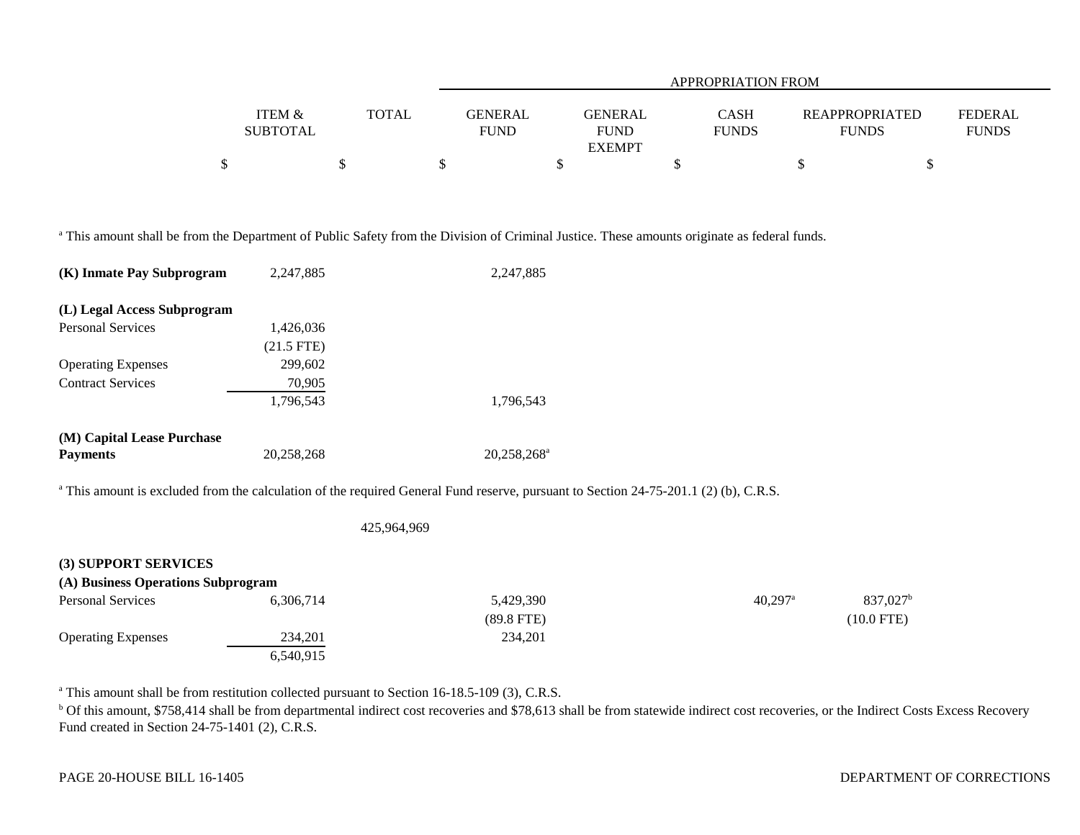|                   |       | APPROPRIATION FROM |               |              |                       |                |  |  |
|-------------------|-------|--------------------|---------------|--------------|-----------------------|----------------|--|--|
|                   |       |                    |               |              |                       |                |  |  |
| <b>ITEM &amp;</b> | TOTAL | <b>GENERAL</b>     | GENERAL       | CASH         | <b>REAPPROPRIATED</b> | <b>FEDERAL</b> |  |  |
| <b>SUBTOTAL</b>   |       | FUND               | <b>FUND</b>   | <b>FUNDS</b> | <b>FUNDS</b>          | <b>FUNDS</b>   |  |  |
|                   |       |                    | <b>EXEMPT</b> |              |                       |                |  |  |
|                   |       |                    |               |              |                       |                |  |  |

<sup>a</sup> This amount shall be from the Department of Public Safety from the Division of Criminal Justice. These amounts originate as federal funds.

| (K) Inmate Pay Subprogram          | 2,247,885    | 2,247,885                                                                                                                                       |                       |                        |
|------------------------------------|--------------|-------------------------------------------------------------------------------------------------------------------------------------------------|-----------------------|------------------------|
| (L) Legal Access Subprogram        |              |                                                                                                                                                 |                       |                        |
| <b>Personal Services</b>           | 1,426,036    |                                                                                                                                                 |                       |                        |
|                                    | $(21.5$ FTE) |                                                                                                                                                 |                       |                        |
| <b>Operating Expenses</b>          | 299,602      |                                                                                                                                                 |                       |                        |
| <b>Contract Services</b>           | 70,905       |                                                                                                                                                 |                       |                        |
|                                    | 1,796,543    | 1,796,543                                                                                                                                       |                       |                        |
| (M) Capital Lease Purchase         |              |                                                                                                                                                 |                       |                        |
| <b>Payments</b>                    | 20,258,268   | 20,258,268 <sup>a</sup>                                                                                                                         |                       |                        |
|                                    |              | <sup>a</sup> This amount is excluded from the calculation of the required General Fund reserve, pursuant to Section 24-75-201.1 (2) (b), C.R.S. |                       |                        |
|                                    |              | 425,964,969                                                                                                                                     |                       |                        |
| (3) SUPPORT SERVICES               |              |                                                                                                                                                 |                       |                        |
| (A) Business Operations Subprogram |              |                                                                                                                                                 |                       |                        |
| Personal Services                  | 6,306,714    | 5,429,390                                                                                                                                       | $40,297$ <sup>a</sup> | $837,027$ <sup>b</sup> |
|                                    |              | $(89.8$ FTE)                                                                                                                                    |                       | $(10.0$ FTE)           |
| <b>Operating Expenses</b>          | 234,201      | 234,201                                                                                                                                         |                       |                        |
|                                    | 6,540,915    |                                                                                                                                                 |                       |                        |

<sup>a</sup> This amount shall be from restitution collected pursuant to Section 16-18.5-109 (3), C.R.S.

<sup>b</sup> Of this amount, \$758,414 shall be from departmental indirect cost recoveries and \$78,613 shall be from statewide indirect cost recoveries, or the Indirect Costs Excess Recovery Fund created in Section 24-75-1401 (2), C.R.S.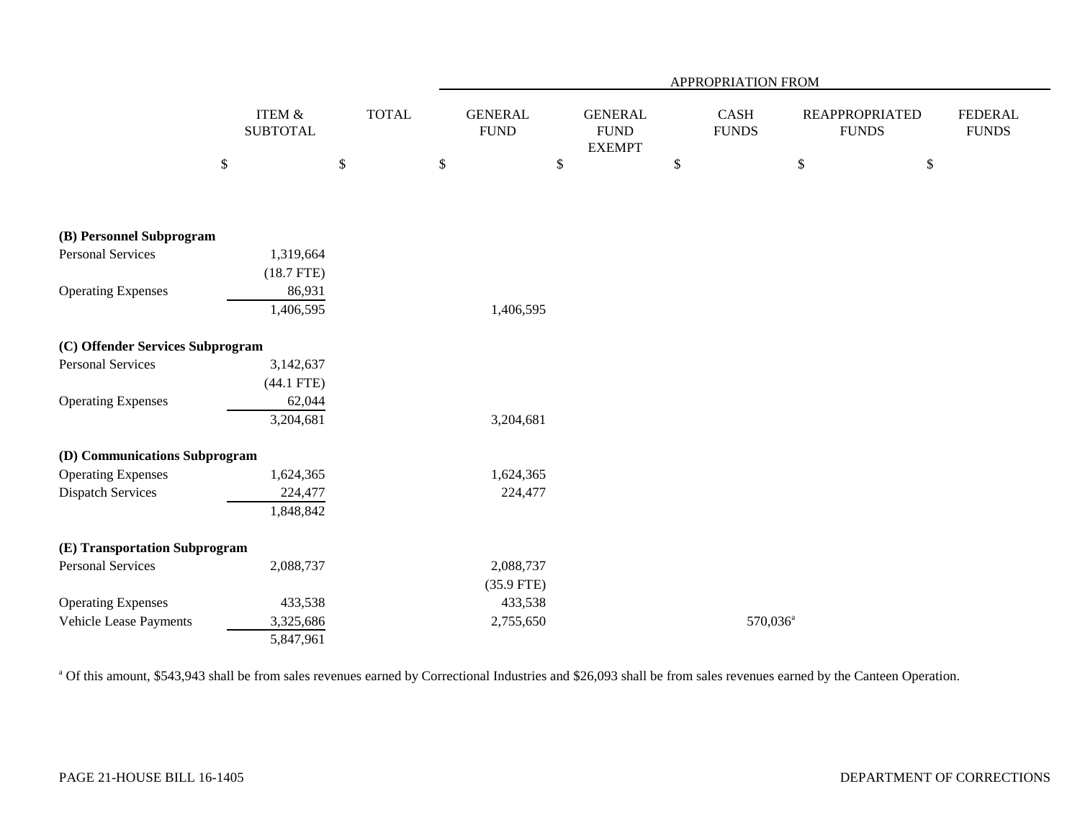|                                  |              |                                      |              | APPROPRIATION FROM             |                                                 |      |                      |                                       |      |                                |  |
|----------------------------------|--------------|--------------------------------------|--------------|--------------------------------|-------------------------------------------------|------|----------------------|---------------------------------------|------|--------------------------------|--|
|                                  |              | <b>ITEM &amp;</b><br><b>SUBTOTAL</b> | <b>TOTAL</b> | <b>GENERAL</b><br>${\rm FUND}$ | <b>GENERAL</b><br>${\rm FUND}$<br><b>EXEMPT</b> |      | CASH<br><b>FUNDS</b> | <b>REAPPROPRIATED</b><br><b>FUNDS</b> |      | <b>FEDERAL</b><br><b>FUNDS</b> |  |
|                                  | $\mathbb{S}$ |                                      | $\mathbb{S}$ | \$                             | $\$$                                            | $\$$ |                      | $\$$                                  | $\$$ |                                |  |
|                                  |              |                                      |              |                                |                                                 |      |                      |                                       |      |                                |  |
| (B) Personnel Subprogram         |              |                                      |              |                                |                                                 |      |                      |                                       |      |                                |  |
| <b>Personal Services</b>         |              | 1,319,664                            |              |                                |                                                 |      |                      |                                       |      |                                |  |
|                                  |              | $(18.7$ FTE)                         |              |                                |                                                 |      |                      |                                       |      |                                |  |
| <b>Operating Expenses</b>        |              | 86,931                               |              |                                |                                                 |      |                      |                                       |      |                                |  |
|                                  |              | 1,406,595                            |              | 1,406,595                      |                                                 |      |                      |                                       |      |                                |  |
| (C) Offender Services Subprogram |              |                                      |              |                                |                                                 |      |                      |                                       |      |                                |  |
| <b>Personal Services</b>         |              | 3,142,637                            |              |                                |                                                 |      |                      |                                       |      |                                |  |
|                                  |              | $(44.1$ FTE)                         |              |                                |                                                 |      |                      |                                       |      |                                |  |
| <b>Operating Expenses</b>        |              | 62,044                               |              |                                |                                                 |      |                      |                                       |      |                                |  |
|                                  |              | 3,204,681                            |              | 3,204,681                      |                                                 |      |                      |                                       |      |                                |  |
| (D) Communications Subprogram    |              |                                      |              |                                |                                                 |      |                      |                                       |      |                                |  |
| <b>Operating Expenses</b>        |              | 1,624,365                            |              | 1,624,365                      |                                                 |      |                      |                                       |      |                                |  |
| <b>Dispatch Services</b>         |              | 224,477                              |              | 224,477                        |                                                 |      |                      |                                       |      |                                |  |
|                                  |              | 1,848,842                            |              |                                |                                                 |      |                      |                                       |      |                                |  |
| (E) Transportation Subprogram    |              |                                      |              |                                |                                                 |      |                      |                                       |      |                                |  |
| <b>Personal Services</b>         |              | 2,088,737                            |              | 2,088,737                      |                                                 |      |                      |                                       |      |                                |  |
|                                  |              |                                      |              | $(35.9$ FTE)                   |                                                 |      |                      |                                       |      |                                |  |
| <b>Operating Expenses</b>        |              | 433,538                              |              | 433,538                        |                                                 |      |                      |                                       |      |                                |  |
| Vehicle Lease Payments           |              | 3,325,686                            |              | 2,755,650                      |                                                 |      | 570,036 <sup>a</sup> |                                       |      |                                |  |
|                                  |              | 5,847,961                            |              |                                |                                                 |      |                      |                                       |      |                                |  |

<sup>a</sup> Of this amount, \$543,943 shall be from sales revenues earned by Correctional Industries and \$26,093 shall be from sales revenues earned by the Canteen Operation.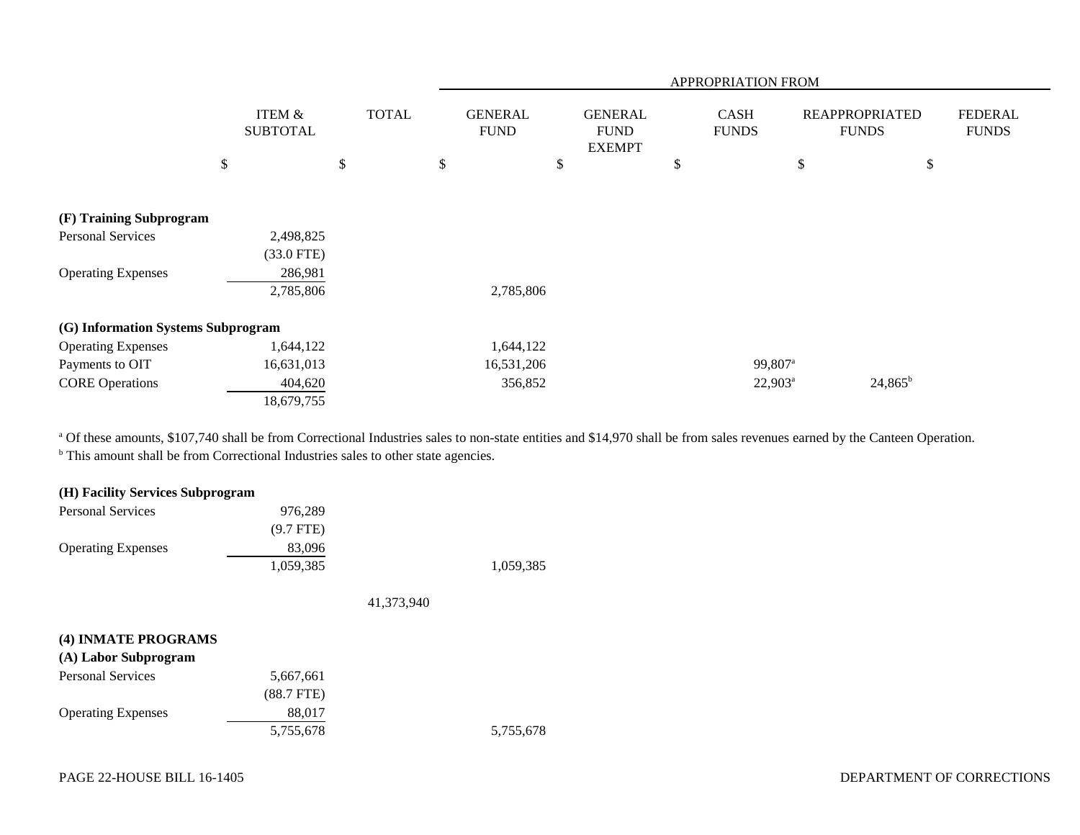|                                    |                           |    |              |                               |                                                | <b>APPROPRIATION FROM</b>   |                     |                                       |                                |
|------------------------------------|---------------------------|----|--------------|-------------------------------|------------------------------------------------|-----------------------------|---------------------|---------------------------------------|--------------------------------|
|                                    | ITEM &<br><b>SUBTOTAL</b> |    | <b>TOTAL</b> | <b>GENERAL</b><br><b>FUND</b> | <b>GENERAL</b><br><b>FUND</b><br><b>EXEMPT</b> | <b>CASH</b><br><b>FUNDS</b> |                     | <b>REAPPROPRIATED</b><br><b>FUNDS</b> | <b>FEDERAL</b><br><b>FUNDS</b> |
|                                    | \$                        | \$ |              | \$                            | \$                                             | \$                          | \$                  |                                       | \$                             |
| (F) Training Subprogram            |                           |    |              |                               |                                                |                             |                     |                                       |                                |
| <b>Personal Services</b>           | 2,498,825                 |    |              |                               |                                                |                             |                     |                                       |                                |
|                                    | $(33.0$ FTE)              |    |              |                               |                                                |                             |                     |                                       |                                |
| <b>Operating Expenses</b>          | 286,981<br>2,785,806      |    |              | 2,785,806                     |                                                |                             |                     |                                       |                                |
| (G) Information Systems Subprogram |                           |    |              |                               |                                                |                             |                     |                                       |                                |
| <b>Operating Expenses</b>          | 1,644,122                 |    |              | 1,644,122                     |                                                |                             |                     |                                       |                                |
| Payments to OIT                    | 16,631,013                |    |              | 16,531,206                    |                                                |                             | 99,807 <sup>a</sup> |                                       |                                |
| <b>CORE Operations</b>             | 404,620                   |    |              | 356,852                       |                                                |                             | $22,903^a$          | $24,865^b$                            |                                |
|                                    | 18,679,755                |    |              |                               |                                                |                             |                     |                                       |                                |

a Of these amounts, \$107,740 shall be from Correctional Industries sales to non-state entities and \$14,970 shall be from sales revenues earned by the Canteen Operation. <sup>b</sup> This amount shall be from Correctional Industries sales to other state agencies.

| (H) Facility Services Subprogram |             |            |           |
|----------------------------------|-------------|------------|-----------|
| <b>Personal Services</b>         | 976,289     |            |           |
|                                  | $(9.7$ FTE) |            |           |
| <b>Operating Expenses</b>        | 83,096      |            |           |
|                                  | 1,059,385   |            | 1,059,385 |
|                                  |             | 41,373,940 |           |
|                                  |             |            |           |
| (4) INMATE PROGRAMS              |             |            |           |

# **(A) Labor Subprogram**

| 5,667,661    |           |
|--------------|-----------|
| $(88.7$ FTE) |           |
| 88,017       |           |
| 5,755,678    | 5,755,678 |
|              |           |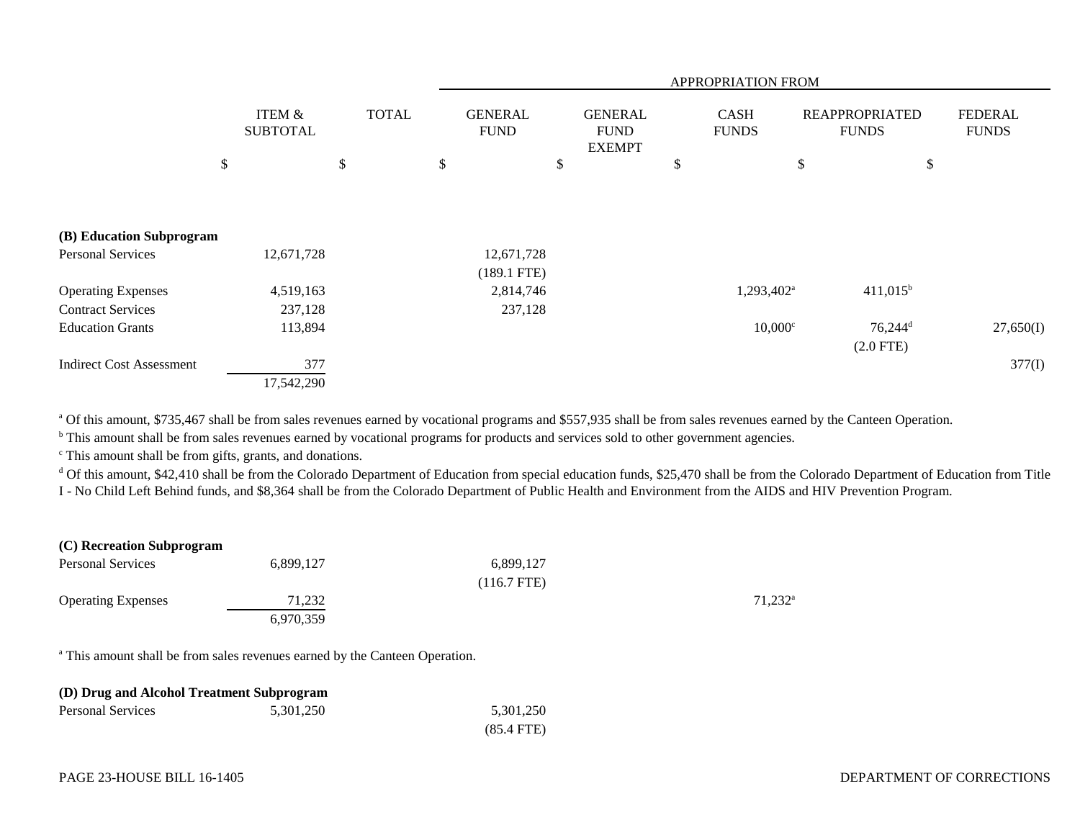|                                 |    |                                      |    |  |    |               |    |  |    | APPROPRIATION FROM     |    |                       |              |  |                               |  |                                                |  |                             |                                       |  |                                |
|---------------------------------|----|--------------------------------------|----|--|----|---------------|----|--|----|------------------------|----|-----------------------|--------------|--|-------------------------------|--|------------------------------------------------|--|-----------------------------|---------------------------------------|--|--------------------------------|
|                                 |    | <b>ITEM &amp;</b><br><b>SUBTOTAL</b> |    |  |    |               |    |  |    |                        |    |                       | <b>TOTAL</b> |  | <b>GENERAL</b><br><b>FUND</b> |  | <b>GENERAL</b><br><b>FUND</b><br><b>EXEMPT</b> |  | <b>CASH</b><br><b>FUNDS</b> | <b>REAPPROPRIATED</b><br><b>FUNDS</b> |  | <b>FEDERAL</b><br><b>FUNDS</b> |
|                                 | \$ |                                      | \$ |  | \$ |               | \$ |  | \$ |                        | \$ | \$                    |              |  |                               |  |                                                |  |                             |                                       |  |                                |
|                                 |    |                                      |    |  |    |               |    |  |    |                        |    |                       |              |  |                               |  |                                                |  |                             |                                       |  |                                |
| (B) Education Subprogram        |    |                                      |    |  |    |               |    |  |    |                        |    |                       |              |  |                               |  |                                                |  |                             |                                       |  |                                |
| <b>Personal Services</b>        |    | 12,671,728                           |    |  |    | 12,671,728    |    |  |    |                        |    |                       |              |  |                               |  |                                                |  |                             |                                       |  |                                |
|                                 |    |                                      |    |  |    | $(189.1$ FTE) |    |  |    |                        |    |                       |              |  |                               |  |                                                |  |                             |                                       |  |                                |
| <b>Operating Expenses</b>       |    | 4,519,163                            |    |  |    | 2,814,746     |    |  |    | $1,293,402^{\text{a}}$ |    | $411,015^b$           |              |  |                               |  |                                                |  |                             |                                       |  |                                |
| <b>Contract Services</b>        |    | 237,128                              |    |  |    | 237,128       |    |  |    |                        |    |                       |              |  |                               |  |                                                |  |                             |                                       |  |                                |
| <b>Education Grants</b>         |    | 113,894                              |    |  |    |               |    |  |    | $10,000$ <sup>c</sup>  |    | $76,244$ <sup>d</sup> | 27,650(I)    |  |                               |  |                                                |  |                             |                                       |  |                                |
|                                 |    |                                      |    |  |    |               |    |  |    |                        |    | $(2.0$ FTE)           |              |  |                               |  |                                                |  |                             |                                       |  |                                |
| <b>Indirect Cost Assessment</b> |    | 377                                  |    |  |    |               |    |  |    |                        |    |                       | 377(I)       |  |                               |  |                                                |  |                             |                                       |  |                                |
|                                 |    | 17,542,290                           |    |  |    |               |    |  |    |                        |    |                       |              |  |                               |  |                                                |  |                             |                                       |  |                                |

<sup>a</sup> Of this amount, \$735,467 shall be from sales revenues earned by vocational programs and \$557,935 shall be from sales revenues earned by the Canteen Operation.

<sup>b</sup> This amount shall be from sales revenues earned by vocational programs for products and services sold to other government agencies.

c This amount shall be from gifts, grants, and donations.

<sup>d</sup> Of this amount, \$42,410 shall be from the Colorado Department of Education from special education funds, \$25,470 shall be from the Colorado Department of Education from Title I - No Child Left Behind funds, and \$8,364 shall be from the Colorado Department of Public Health and Environment from the AIDS and HIV Prevention Program.

| (C) Recreation Subprogram |           |             |                     |
|---------------------------|-----------|-------------|---------------------|
| <b>Personal Services</b>  | 6,899,127 | 6,899,127   |                     |
|                           |           | (116.7 FTE) |                     |
| <b>Operating Expenses</b> | 71.232    |             | 71.232 <sup>a</sup> |
|                           | 6,970,359 |             |                     |

<sup>a</sup> This amount shall be from sales revenues earned by the Canteen Operation.

| (D) Drug and Alcohol Treatment Subprogram |           |              |  |  |  |  |  |
|-------------------------------------------|-----------|--------------|--|--|--|--|--|
| Personal Services                         | 5.301.250 | 5,301,250    |  |  |  |  |  |
|                                           |           | $(85.4$ FTE) |  |  |  |  |  |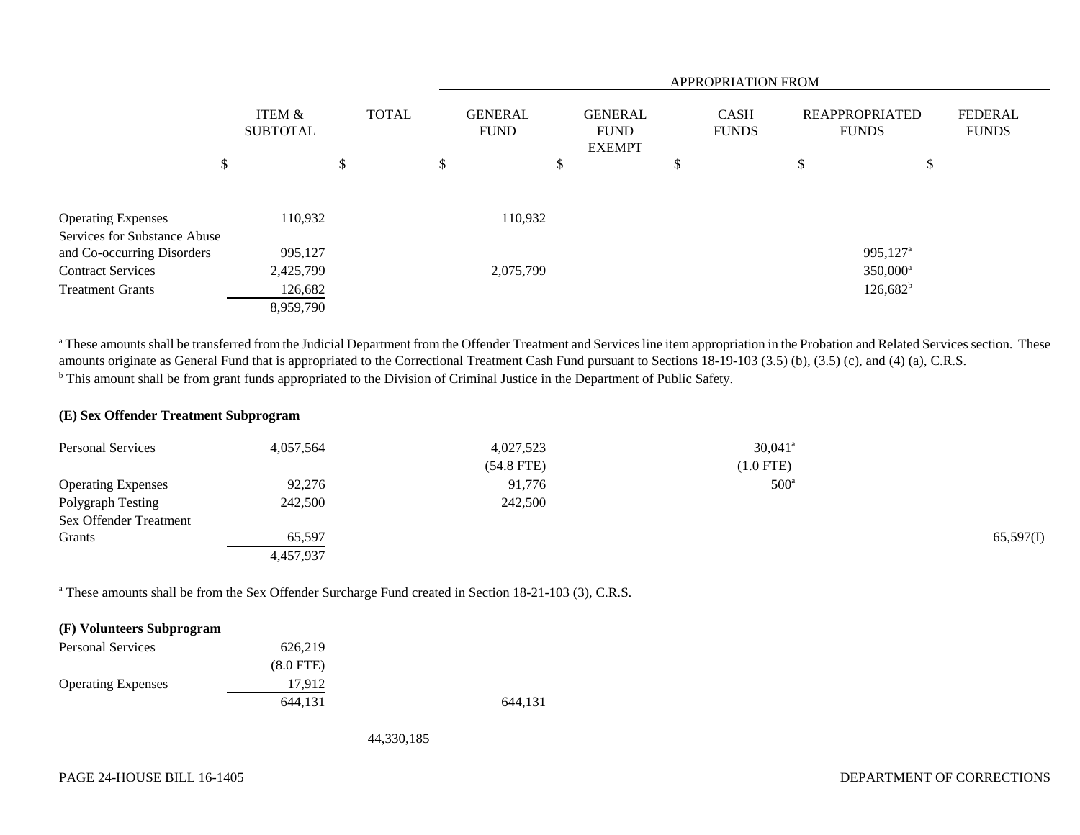|                                                            |                           |              |    | <b>APPROPRIATION FROM</b>     |   |                                                |   |                             |                                       |                        |    |                                |
|------------------------------------------------------------|---------------------------|--------------|----|-------------------------------|---|------------------------------------------------|---|-----------------------------|---------------------------------------|------------------------|----|--------------------------------|
|                                                            | ITEM &<br><b>SUBTOTAL</b> | <b>TOTAL</b> |    | <b>GENERAL</b><br><b>FUND</b> |   | <b>GENERAL</b><br><b>FUND</b><br><b>EXEMPT</b> |   | <b>CASH</b><br><b>FUNDS</b> | <b>REAPPROPRIATED</b><br><b>FUNDS</b> |                        |    | <b>FEDERAL</b><br><b>FUNDS</b> |
|                                                            | \$                        | \$           | \$ |                               | D |                                                | D |                             | \$                                    |                        | \$ |                                |
| <b>Operating Expenses</b>                                  | 110,932                   |              |    | 110,932                       |   |                                                |   |                             |                                       |                        |    |                                |
| Services for Substance Abuse<br>and Co-occurring Disorders | 995,127                   |              |    |                               |   |                                                |   |                             |                                       | $995,127$ <sup>a</sup> |    |                                |
| <b>Contract Services</b>                                   | 2,425,799                 |              |    | 2,075,799                     |   |                                                |   |                             |                                       | $350,000^{\rm a}$      |    |                                |
| <b>Treatment Grants</b>                                    | 126,682                   |              |    |                               |   |                                                |   |                             |                                       | $126,682^b$            |    |                                |
|                                                            | 8,959,790                 |              |    |                               |   |                                                |   |                             |                                       |                        |    |                                |

<sup>a</sup> These amounts shall be transferred from the Judicial Department from the Offender Treatment and Services line item appropriation in the Probation and Related Services section. These amounts originate as General Fund that is appropriated to the Correctional Treatment Cash Fund pursuant to Sections 18-19-103 (3.5) (b), (3.5) (c), and (4) (a), C.R.S. <sup>b</sup> This amount shall be from grant funds appropriated to the Division of Criminal Justice in the Department of Public Safety.

#### **(E) Sex Offender Treatment Subprogram**

| <b>Personal Services</b>  | 4,057,564 | 4,027,523    | $30,041$ <sup>a</sup> |           |
|---------------------------|-----------|--------------|-----------------------|-----------|
|                           |           | $(54.8$ FTE) | $(1.0$ FTE)           |           |
| <b>Operating Expenses</b> | 92,276    | 91,776       | $500^{\circ}$         |           |
| Polygraph Testing         | 242,500   | 242,500      |                       |           |
| Sex Offender Treatment    |           |              |                       |           |
| Grants                    | 65,597    |              |                       | 65,597(I) |
|                           | 4,457,937 |              |                       |           |

a These amounts shall be from the Sex Offender Surcharge Fund created in Section 18-21-103 (3), C.R.S.

### **(F) Volunteers Subprogram**

| <b>Personal Services</b>  | 626.219     |         |
|---------------------------|-------------|---------|
|                           | $(8.0$ FTE) |         |
| <b>Operating Expenses</b> | 17.912      |         |
|                           | 644.131     | 644,131 |

44,330,185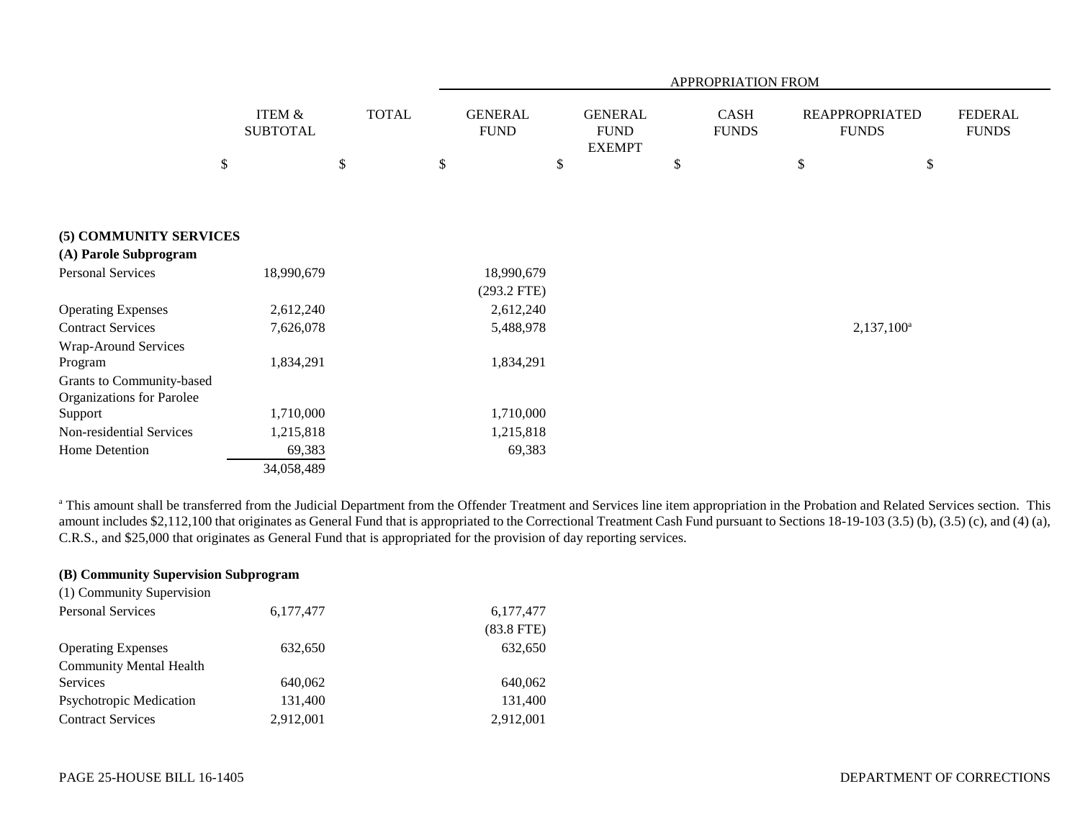|                                                               |                                      |              |                               | APPROPRIATION FROM                             |                             |                                       |                                |  |  |  |  |
|---------------------------------------------------------------|--------------------------------------|--------------|-------------------------------|------------------------------------------------|-----------------------------|---------------------------------------|--------------------------------|--|--|--|--|
|                                                               | <b>ITEM &amp;</b><br><b>SUBTOTAL</b> | <b>TOTAL</b> | <b>GENERAL</b><br><b>FUND</b> | <b>GENERAL</b><br><b>FUND</b><br><b>EXEMPT</b> | <b>CASH</b><br><b>FUNDS</b> | <b>REAPPROPRIATED</b><br><b>FUNDS</b> | <b>FEDERAL</b><br><b>FUNDS</b> |  |  |  |  |
|                                                               | $\$$                                 | \$           | \$                            | $\$$                                           | \$                          | $\$$<br>\$                            |                                |  |  |  |  |
| (5) COMMUNITY SERVICES                                        |                                      |              |                               |                                                |                             |                                       |                                |  |  |  |  |
| (A) Parole Subprogram                                         |                                      |              |                               |                                                |                             |                                       |                                |  |  |  |  |
| <b>Personal Services</b>                                      | 18,990,679                           |              | 18,990,679<br>$(293.2$ FTE)   |                                                |                             |                                       |                                |  |  |  |  |
| <b>Operating Expenses</b>                                     | 2,612,240                            |              | 2,612,240                     |                                                |                             |                                       |                                |  |  |  |  |
| <b>Contract Services</b>                                      | 7,626,078                            |              | 5,488,978                     |                                                |                             | $2,137,100^a$                         |                                |  |  |  |  |
| Wrap-Around Services<br>Program                               | 1,834,291                            |              | 1,834,291                     |                                                |                             |                                       |                                |  |  |  |  |
| Grants to Community-based<br><b>Organizations for Parolee</b> |                                      |              |                               |                                                |                             |                                       |                                |  |  |  |  |
| Support                                                       | 1,710,000                            |              | 1,710,000                     |                                                |                             |                                       |                                |  |  |  |  |
| Non-residential Services                                      | 1,215,818                            |              | 1,215,818                     |                                                |                             |                                       |                                |  |  |  |  |
| Home Detention                                                | 69,383                               |              | 69,383                        |                                                |                             |                                       |                                |  |  |  |  |
|                                                               | 34,058,489                           |              |                               |                                                |                             |                                       |                                |  |  |  |  |

<sup>a</sup> This amount shall be transferred from the Judicial Department from the Offender Treatment and Services line item appropriation in the Probation and Related Services section. This amount includes \$2,112,100 that originates as General Fund that is appropriated to the Correctional Treatment Cash Fund pursuant to Sections 18-19-103 (3.5) (b), (3.5) (c), and (4) (a), C.R.S., and \$25,000 that originates as General Fund that is appropriated for the provision of day reporting services.

# **(B) Community Supervision Subprogram**

| (1) Community Supervision      |             |              |
|--------------------------------|-------------|--------------|
| <b>Personal Services</b>       | 6, 177, 477 | 6,177,477    |
|                                |             | $(83.8$ FTE) |
| <b>Operating Expenses</b>      | 632,650     | 632,650      |
| <b>Community Mental Health</b> |             |              |
| Services                       | 640,062     | 640,062      |
| <b>Psychotropic Medication</b> | 131,400     | 131.400      |
| <b>Contract Services</b>       | 2,912,001   | 2,912,001    |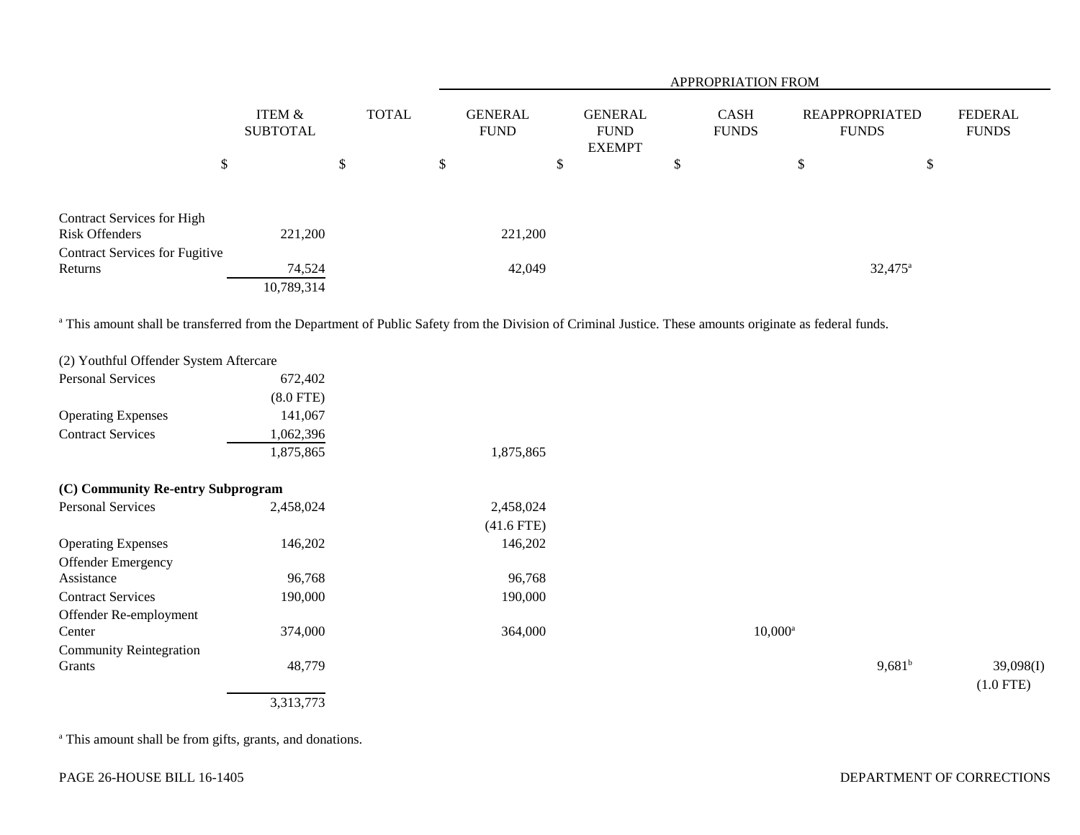|                                                     |                           |              | <b>APPROPRIATION FROM</b>     |                                                |                             |                                       |                                |  |  |  |  |
|-----------------------------------------------------|---------------------------|--------------|-------------------------------|------------------------------------------------|-----------------------------|---------------------------------------|--------------------------------|--|--|--|--|
|                                                     | ITEM &<br><b>SUBTOTAL</b> | <b>TOTAL</b> | <b>GENERAL</b><br><b>FUND</b> | <b>GENERAL</b><br><b>FUND</b><br><b>EXEMPT</b> | <b>CASH</b><br><b>FUNDS</b> | <b>REAPPROPRIATED</b><br><b>FUNDS</b> | <b>FEDERAL</b><br><b>FUNDS</b> |  |  |  |  |
| \$                                                  |                           | \$           | \$                            | \$                                             | \$                          | \$<br>\$                              |                                |  |  |  |  |
| <b>Contract Services for High</b><br>Risk Offenders | 221,200                   |              | 221,200                       |                                                |                             |                                       |                                |  |  |  |  |
| <b>Contract Services for Fugitive</b>               |                           |              |                               |                                                |                             |                                       |                                |  |  |  |  |
| Returns                                             | 74,524<br>10,789,314      |              | 42,049                        |                                                |                             | $32,475^{\circ}$                      |                                |  |  |  |  |

<sup>a</sup> This amount shall be transferred from the Department of Public Safety from the Division of Criminal Justice. These amounts originate as federal funds.

| (2) Youthful Offender System Aftercare |                |              |            |           |             |
|----------------------------------------|----------------|--------------|------------|-----------|-------------|
| <b>Personal Services</b>               | 672,402        |              |            |           |             |
|                                        | $(8.0$ FTE $)$ |              |            |           |             |
| <b>Operating Expenses</b>              | 141,067        |              |            |           |             |
| <b>Contract Services</b>               | 1,062,396      |              |            |           |             |
|                                        | 1,875,865      | 1,875,865    |            |           |             |
| (C) Community Re-entry Subprogram      |                |              |            |           |             |
| Personal Services                      | 2,458,024      | 2,458,024    |            |           |             |
|                                        |                | $(41.6$ FTE) |            |           |             |
| <b>Operating Expenses</b>              | 146,202        | 146,202      |            |           |             |
| <b>Offender Emergency</b>              |                |              |            |           |             |
| Assistance                             | 96,768         | 96,768       |            |           |             |
| <b>Contract Services</b>               | 190,000        | 190,000      |            |           |             |
| Offender Re-employment                 |                |              |            |           |             |
| Center                                 | 374,000        | 364,000      | $10,000^a$ |           |             |
| <b>Community Reintegration</b>         |                |              |            |           |             |
| Grants                                 | 48,779         |              |            | $9,681^b$ | 39,098(I)   |
|                                        |                |              |            |           | $(1.0$ FTE) |
|                                        | 3,313,773      |              |            |           |             |
|                                        |                |              |            |           |             |

a This amount shall be from gifts, grants, and donations.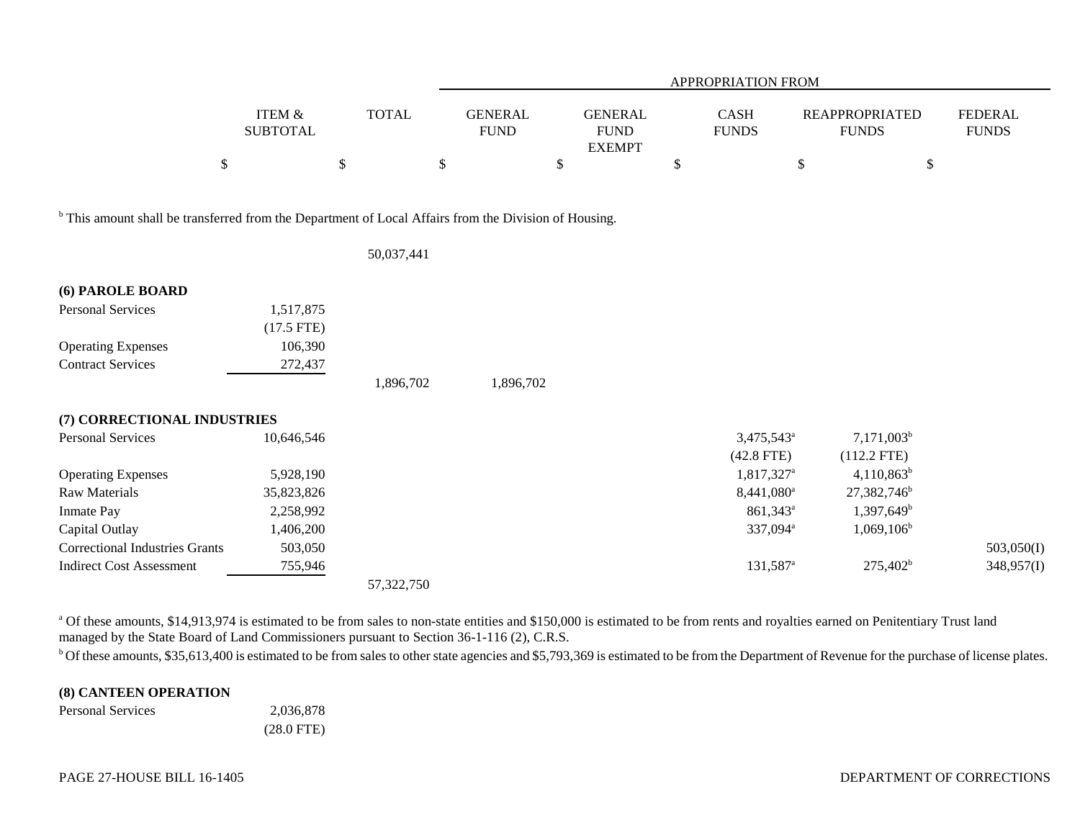|                                                                                                                  |                                            |                      | <b>APPROPRIATION FROM</b>           |                                                      |    |                                        |    |                                                 |                                |  |  |
|------------------------------------------------------------------------------------------------------------------|--------------------------------------------|----------------------|-------------------------------------|------------------------------------------------------|----|----------------------------------------|----|-------------------------------------------------|--------------------------------|--|--|
|                                                                                                                  | <b>ITEM &amp;</b><br><b>SUBTOTAL</b><br>\$ | <b>TOTAL</b><br>$\$$ | \$<br><b>GENERAL</b><br><b>FUND</b> | <b>GENERAL</b><br><b>FUND</b><br><b>EXEMPT</b><br>\$ | \$ | <b>CASH</b><br><b>FUNDS</b>            | \$ | <b>REAPPROPRIATED</b><br><b>FUNDS</b><br>$\$\,$ | <b>FEDERAL</b><br><b>FUNDS</b> |  |  |
|                                                                                                                  |                                            |                      |                                     |                                                      |    |                                        |    |                                                 |                                |  |  |
| <sup>b</sup> This amount shall be transferred from the Department of Local Affairs from the Division of Housing. |                                            |                      |                                     |                                                      |    |                                        |    |                                                 |                                |  |  |
|                                                                                                                  |                                            | 50,037,441           |                                     |                                                      |    |                                        |    |                                                 |                                |  |  |
| (6) PAROLE BOARD                                                                                                 |                                            |                      |                                     |                                                      |    |                                        |    |                                                 |                                |  |  |
| <b>Personal Services</b>                                                                                         | 1,517,875<br>$(17.5$ FTE)                  |                      |                                     |                                                      |    |                                        |    |                                                 |                                |  |  |
| <b>Operating Expenses</b>                                                                                        | 106,390                                    |                      |                                     |                                                      |    |                                        |    |                                                 |                                |  |  |
| <b>Contract Services</b>                                                                                         | 272,437                                    |                      |                                     |                                                      |    |                                        |    |                                                 |                                |  |  |
|                                                                                                                  |                                            | 1,896,702            | 1,896,702                           |                                                      |    |                                        |    |                                                 |                                |  |  |
| (7) CORRECTIONAL INDUSTRIES                                                                                      |                                            |                      |                                     |                                                      |    |                                        |    |                                                 |                                |  |  |
| Personal Services                                                                                                | 10,646,546                                 |                      |                                     |                                                      |    | 3,475,543 <sup>a</sup><br>$(42.8$ FTE) |    | $7,171,003^b$<br>$(112.2$ FTE)                  |                                |  |  |
| <b>Operating Expenses</b>                                                                                        | 5,928,190                                  |                      |                                     |                                                      |    | 1,817,327 <sup>a</sup>                 |    | $4,110,863^b$                                   |                                |  |  |
| Raw Materials                                                                                                    | 35,823,826                                 |                      |                                     |                                                      |    | $8,441,080$ <sup>a</sup>               |    | 27,382,746 <sup>b</sup>                         |                                |  |  |
| Inmate Pay                                                                                                       | 2,258,992                                  |                      |                                     |                                                      |    | 861,343 <sup>a</sup>                   |    | $1,397,649^b$                                   |                                |  |  |
| Capital Outlay                                                                                                   | 1,406,200                                  |                      |                                     |                                                      |    | 337,094 <sup>a</sup>                   |    | $1,069,106^{\rm b}$                             |                                |  |  |
| <b>Correctional Industries Grants</b>                                                                            | 503,050                                    |                      |                                     |                                                      |    |                                        |    |                                                 | 503,050(I)                     |  |  |
| <b>Indirect Cost Assessment</b>                                                                                  | 755,946                                    |                      |                                     |                                                      |    | 131,587 <sup>a</sup>                   |    | 275,402 <sup>b</sup>                            | 348,957(I)                     |  |  |
|                                                                                                                  |                                            | 57,322,750           |                                     |                                                      |    |                                        |    |                                                 |                                |  |  |

<sup>a</sup> Of these amounts, \$14,913,974 is estimated to be from sales to non-state entities and \$150,000 is estimated to be from rents and royalties earned on Penitentiary Trust land managed by the State Board of Land Commissioners pursuant to Section 36-1-116 (2), C.R.S.

<sup>b</sup> Of these amounts, \$35,613,400 is estimated to be from sales to other state agencies and \$5,793,369 is estimated to be from the Department of Revenue for the purchase of license plates.

## **(8) CANTEEN OPERATION**

| <b>Personal Services</b> | 2,036,878    |
|--------------------------|--------------|
|                          | $(28.0$ FTE) |